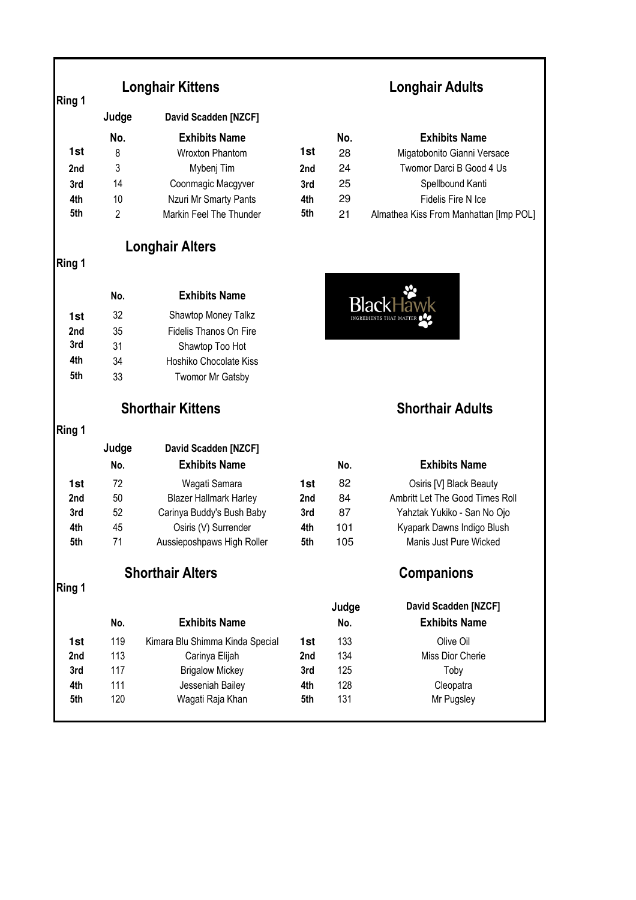|                 | Judge | David Scadden [NZCF]    |                 |     |                                        |
|-----------------|-------|-------------------------|-----------------|-----|----------------------------------------|
|                 | No.   | <b>Exhibits Name</b>    |                 | No. | <b>Exhibits Name</b>                   |
| 1st             | 8     | Wroxton Phantom         | 1st             | 28  | Migatobonito Gianni Versace            |
| 2 <sub>nd</sub> | 3     | Mybenj Tim              | 2 <sub>nd</sub> | 24  | Twomor Darci B Good 4 Us               |
| 3rd             | 14    | Coonmagic Macgyver      | 3rd             | 25  | Spellbound Kanti                       |
| 4th             | 10    | Nzuri Mr Smarty Pants   | 4th             | 29  | Fidelis Fire N Ice                     |
| 5th             | っ     | Markin Feel The Thunder | 5th             | 21  | Almathea Kiss From Manhattan [Imp POL] |

# **Longhair Alters**

## **Ring 1**

|     | No. | <b>Exhibits Name</b>   |
|-----|-----|------------------------|
| 1st | 32  | Shawtop Money Talkz    |
| 2nd | 35  | Fidelis Thanos On Fire |
| 3rd | 31  | Shawtop Too Hot        |
| 4th | 34  | Hoshiko Chocolate Kiss |
| 5th | 33  | Twomor Mr Gatsby       |

## **Shorthair Kittens Shorthair Adults**

## **Ring 1**

|     | Judge | David Scadden [NZCF]          |                 |     |                                 |
|-----|-------|-------------------------------|-----------------|-----|---------------------------------|
|     | No.   | <b>Exhibits Name</b>          |                 | No. | <b>Exhibits Name</b>            |
| 1st | 72    | Wagati Samara                 | 1st             | 82  | Osiris [V] Black Beauty         |
| 2nd | 50    | <b>Blazer Hallmark Harley</b> | 2 <sub>nd</sub> | 84  | Ambritt Let The Good Times Roll |
| 3rd | 52    | Carinya Buddy's Bush Baby     | 3rd             | 87  | Yahztak Yukiko - San No Ojo     |
| 4th | 45    | Osiris (V) Surrender          | 4th             | 101 | Kyapark Dawns Indigo Blush      |
| 5th | 71    | Aussieposhpaws High Roller    | 5th             | 105 | Manis Just Pure Wicked          |

# **Shorthair Alters Companions**

## **Ring 1**

| No. | <b>Exhibits Name</b>            |                 | Judge<br>No. | David Scadden [NZ<br><b>Exhibits Name</b> |
|-----|---------------------------------|-----------------|--------------|-------------------------------------------|
| 119 | Kimara Blu Shimma Kinda Special | 1st             | 133          | Olive Oil                                 |
| 113 | Carinya Elijah                  | 2 <sub>nd</sub> | 134          | Miss Dior Cherie                          |
| 117 | <b>Brigalow Mickey</b>          | 3rd             | 125          | Toby                                      |
| 111 | Jesseniah Bailey                | 4th             | 128          | Cleopatra                                 |
| 120 | Wagati Raja Khan                | 5th             | 131          | Mr Pugsley                                |
|     |                                 |                 |              |                                           |

# **Longhair Kittens Longhair Adults**

|     | No. | <b>Exhibits Name</b>                   |
|-----|-----|----------------------------------------|
| 1st | 28  | Migatobonito Gianni Versace            |
| 2nd | 24  | Twomor Darci B Good 4 Us               |
| 3rd | 25  | Spellbound Kanti                       |
| 4th | 29  | Fidelis Fire N Ice                     |
| 5th | 21  | Almathea Kiss From Manhattan [Imp POL] |



| No. | <b>Exhibits Name</b>            |
|-----|---------------------------------|
| 82  | Osiris [V] Black Beauty         |
| 84  | Ambritt Let The Good Times Roll |
| 87  | Yahztak Yukiko - San No Ojo     |
| 01  | Kyapark Dawns Indigo Blush      |
| 105 | Manis Just Pure Wicked          |
|     |                                 |

| David Scadden [NZCF]<br><b>Exhibits Name</b> |
|----------------------------------------------|
| Olive Oil                                    |
| Miss Dior Cherie                             |
| Toby                                         |
| Cleopatra                                    |
| Mr Pugsley                                   |
|                                              |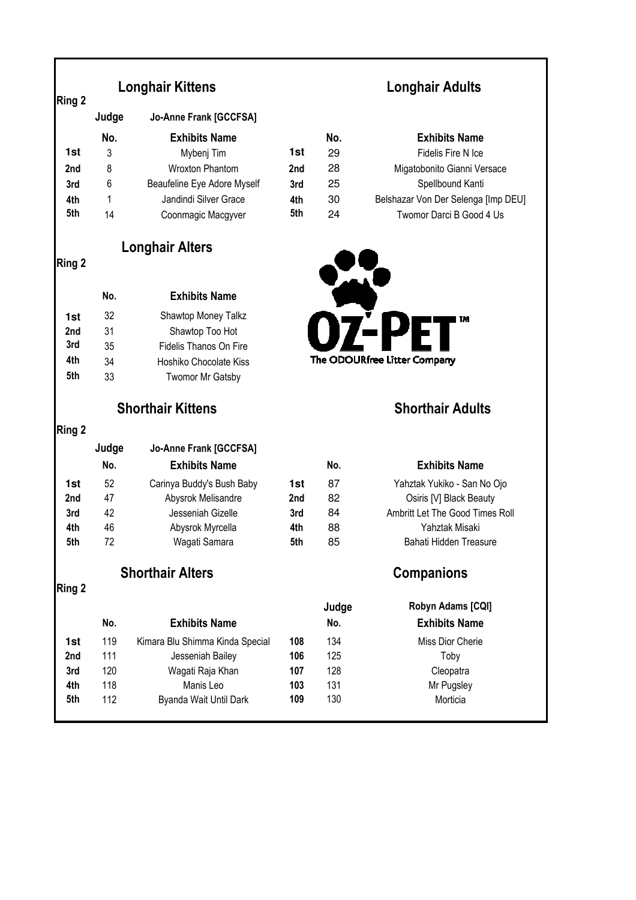## **Longhair Kittens**

|                 | Judge | Jo-Anne Frank [GCCFSA]      |                 |     |                           |
|-----------------|-------|-----------------------------|-----------------|-----|---------------------------|
|                 | No.   | <b>Exhibits Name</b>        |                 | No. | <b>Exhibits Name</b>      |
| 1st             | 3     | Mybenj Tim                  | 1st             | 29  | Fidelis Fire N Ice        |
| 2 <sub>nd</sub> | 8     | <b>Wroxton Phantom</b>      | 2 <sub>nd</sub> | 28  | Migatobonito Gianni Ve    |
| 3rd             | 6     | Beaufeline Eye Adore Myself | 3rd             | 25  | Spellbound Kanti          |
| 4th             |       | Jandindi Silver Grace       | 4th             | 30  | Belshazar Von Der Selenga |
| 5th             | 14    | Coonmagic Macgyver          | 5th             | 24  | Twomor Darci B Good       |
|                 |       |                             |                 |     |                           |

**No. Exhibits Name**

**Longhair Alters**

1st 32 Shawtop Money Talkz **2nd** 31 Shawtop Too Hot **3rd** 35 Fidelis Thanos On Fire **4th** 34 Hoshiko Chocolate Kiss **5th** 33 Twomor Mr Gatsby

## **Longhair Adults**

|     | No. | <b>Exhibits Name</b>        |                 | No. | <b>Exhibits Name</b>                |
|-----|-----|-----------------------------|-----------------|-----|-------------------------------------|
| 1st | 3   | Mybenj Tim                  | 1st             | 29  | Fidelis Fire N Ice                  |
| 2nd | 8   | <b>Wroxton Phantom</b>      | 2 <sub>nd</sub> | 28  | Migatobonito Gianni Versace         |
| 3rd | 6   | Beaufeline Eye Adore Myself | 3rd             | 25  | Spellbound Kanti                    |
| 4th |     | Jandindi Silver Grace       | 4th             | 30  | Belshazar Von Der Selenga [Imp DEU] |
| 5th | 14  | Coonmagic Macgyver          | 5th             | 24  | Twomor Darci B Good 4 Us            |



## **Shorthair Kittens Shorthair Adults**

|     | No. | <b>Exhibits Name</b>      |     | No. | <b>Exhibits Name</b>            |
|-----|-----|---------------------------|-----|-----|---------------------------------|
| 1st | 52  | Carinya Buddy's Bush Baby | 1st | 87  | Yahztak Yukiko - San No Ojo     |
| 2nd | 47  | Abysrok Melisandre        | 2nd | 82  | Osiris [V] Black Beauty         |
| 3rd | 42  | Jesseniah Gizelle         | 3rd | 84  | Ambritt Let The Good Times Roll |
| 4th | 46  | Abysrok Myrcella          | 4th | 88  | Yahztak Misaki                  |
| 5th | 72  | Wagati Samara             | 5th | 85  | Bahati Hidden Treasure          |
|     |     |                           |     |     |                                 |

## **Shorthair Alters Companions**

**Judge Jo-Anne Frank [GCCFSA]**

**Ring 2** 

**Ring 2** 

|                 | No. | <b>Exhibits Name</b>            |     | No. | <b>Exhibits Name</b> |
|-----------------|-----|---------------------------------|-----|-----|----------------------|
| 1st             | 119 | Kimara Blu Shimma Kinda Special | 108 | 134 | Miss Dior Cherie     |
| 2 <sub>nd</sub> | 111 | Jesseniah Bailey                | 106 | 125 | Toby                 |
| 3rd             | 120 | Wagati Raja Khan                | 107 | 128 | Cleopatra            |
| 4th             | 118 | Manis Leo                       | 103 | 131 | Mr Pugsley           |
| 5th             | 112 | Byanda Wait Until Dark          | 109 | 130 | Morticia             |
|                 |     |                                 |     |     |                      |

# **No. Exhibits Name No. Exhibits Name**

|    | Judge | <b>Robyn Adams [CQI]</b> |
|----|-------|--------------------------|
|    | No.   | <b>Exhibits Name</b>     |
| 08 | 134   | Miss Dior Cherie         |
| 06 | 125   | Toby                     |
| 07 | 128   | Cleopatra                |
| 03 | 131   | Mr Pugsley               |
| 09 | 130   | Morticia                 |
|    |       |                          |

### **Ring 2**

**Ring 2**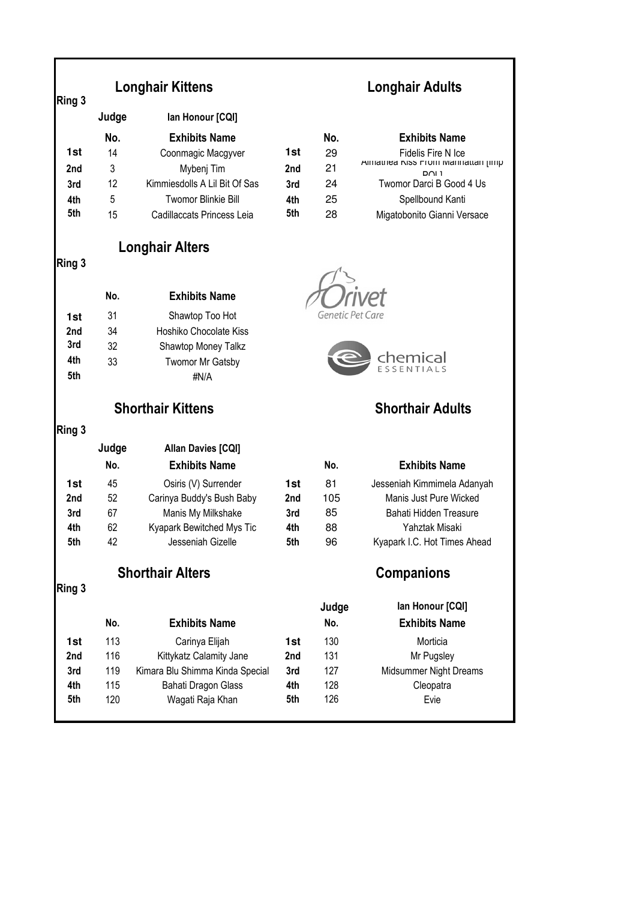| Ring 3 | <b>Longhair Kittens</b>  |                                 | <b>Longhair Adults</b> |                         |                                            |  |
|--------|--------------------------|---------------------------------|------------------------|-------------------------|--------------------------------------------|--|
|        | Judge                    | lan Honour [CQI]                |                        |                         |                                            |  |
|        | No.                      | <b>Exhibits Name</b>            |                        | No.                     | <b>Exhibits Name</b>                       |  |
| 1st    | 14                       | Coonmagic Macgyver              | 1st                    | 29                      | Fidelis Fire N Ice                         |  |
| 2nd    | 3                        | Mybenj Tim                      | 2nd                    | 21                      | Almathed NISS FTOM Manhattan [Imp<br>ו ו∩ם |  |
| 3rd    | 12                       | Kimmiesdolls A Lil Bit Of Sas   | 3rd                    | 24                      | Twomor Darci B Good 4 Us                   |  |
| 4th    | 5                        | <b>Twomor Blinkie Bill</b>      | 4th                    | 25                      | Spellbound Kanti                           |  |
| 5th    | 15                       | Cadillaccats Princess Leia      | 5th                    | 28                      | Migatobonito Gianni Versace                |  |
|        |                          | <b>Longhair Alters</b>          |                        |                         |                                            |  |
| Ring 3 |                          |                                 |                        |                         |                                            |  |
|        | No.                      | <b>Exhibits Name</b>            |                        |                         |                                            |  |
| 1st    | 31                       | Shawtop Too Hot                 |                        | Genetic Pet Care        |                                            |  |
| 2nd    | 34                       | Hoshiko Chocolate Kiss          |                        |                         |                                            |  |
| 3rd    | 32                       | Shawtop Money Talkz             |                        |                         |                                            |  |
| 4th    | 33                       | <b>Twomor Mr Gatsby</b>         |                        |                         | chemical                                   |  |
| 5th    |                          | #N/A                            |                        |                         |                                            |  |
|        | <b>Shorthair Kittens</b> |                                 |                        | <b>Shorthair Adults</b> |                                            |  |
| Ring 3 |                          |                                 |                        |                         |                                            |  |
|        | Judge                    | <b>Allan Davies [CQI]</b>       |                        |                         |                                            |  |
|        | No.                      | <b>Exhibits Name</b>            |                        | No.                     | <b>Exhibits Name</b>                       |  |
| 1st    | 45                       | Osiris (V) Surrender            | 1st                    | 81                      | Jesseniah Kimmimela Adanyah                |  |
| 2nd    | 52                       | Carinya Buddy's Bush Baby       | 2nd                    | 105                     | Manis Just Pure Wicked                     |  |
| 3rd    | 67                       | Manis My Milkshake              | 3rd                    | 85                      | Bahati Hidden Treasure                     |  |
| 4th    | 62                       | Kyapark Bewitched Mys Tic       | 4th                    | 88                      | Yahztak Misaki                             |  |
| 5th    | 42                       | Jesseniah Gizelle               | 5th                    | 96                      | Kyapark I.C. Hot Times Ahead               |  |
|        | <b>Shorthair Alters</b>  |                                 |                        | <b>Companions</b>       |                                            |  |
| Ring 3 |                          |                                 |                        | Judge                   | lan Honour [CQI]                           |  |
|        | No.                      | <b>Exhibits Name</b>            |                        | No.                     | <b>Exhibits Name</b>                       |  |
| 1st    | 113                      | Carinya Elijah                  | 1st                    | 130                     | Morticia                                   |  |
| 2nd    | 116                      | Kittykatz Calamity Jane         | 2nd                    | 131                     | Mr Pugsley                                 |  |
| 3rd    | 119                      | Kimara Blu Shimma Kinda Special | 3rd                    | 127                     | Midsummer Night Dreams                     |  |
| 4th    | 115                      | Bahati Dragon Glass             | 4th                    | 128                     | Cleopatra                                  |  |
| 5th    | 120                      | Wagati Raja Khan                | 5th                    | 126                     | Evie                                       |  |